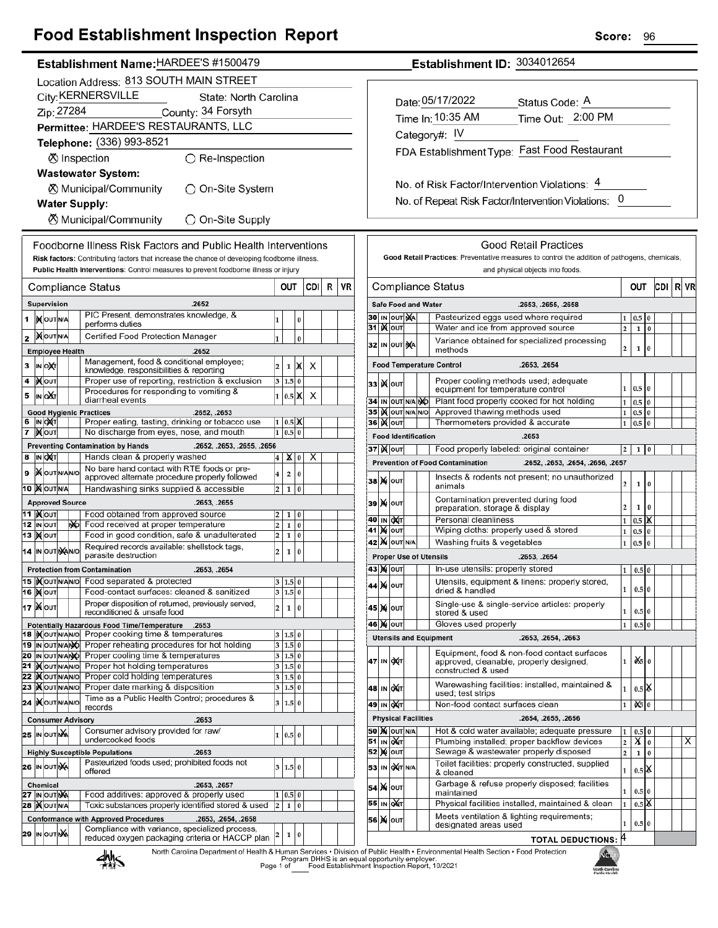## **Food Establishment Inspection Report**

|--|

|    |                                                                                  |                                  |  |    | Location Address: 813 SOUTH MAIN STREET                                                                                  |                         |                |          |      |   |    |
|----|----------------------------------------------------------------------------------|----------------------------------|--|----|--------------------------------------------------------------------------------------------------------------------------|-------------------------|----------------|----------|------|---|----|
|    | City: KERNERSVILLE<br>State: North Carolina                                      |                                  |  |    |                                                                                                                          |                         |                |          |      |   |    |
|    | Zip: 27284<br>County: 34 Forsyth                                                 |                                  |  |    |                                                                                                                          |                         |                |          |      |   |    |
|    | Permittee: HARDEE'S RESTAURANTS, LLC                                             |                                  |  |    |                                                                                                                          |                         |                |          |      |   |    |
|    | Telephone: (336) 993-8521                                                        |                                  |  |    |                                                                                                                          |                         |                |          |      |   |    |
|    | <b>Ø</b> Inspection<br>$\bigcirc$ Re-Inspection                                  |                                  |  |    |                                                                                                                          |                         |                |          |      |   |    |
|    | <b>Wastewater System:</b>                                                        |                                  |  |    |                                                                                                                          |                         |                |          |      |   |    |
|    |                                                                                  |                                  |  |    | ⊗ Municipal/Community<br>つ On-Site System                                                                                |                         |                |          |      |   |    |
|    |                                                                                  |                                  |  |    | <b>Water Supply:</b>                                                                                                     |                         |                |          |      |   |    |
|    |                                                                                  |                                  |  |    | ⊗ Municipal/Community<br>◯ On-Site Supply                                                                                |                         |                |          |      |   |    |
|    |                                                                                  |                                  |  |    | Foodborne Illness Risk Factors and Public Health Interventions                                                           |                         |                |          |      |   |    |
|    |                                                                                  |                                  |  |    | Risk factors: Contributing factors that increase the chance of developing foodborne illness.                             |                         |                |          |      |   |    |
|    |                                                                                  |                                  |  |    | Public Health Interventions: Control measures to prevent foodborne illness or injury                                     |                         |                |          |      |   |    |
|    |                                                                                  |                                  |  |    | Compliance Status                                                                                                        |                         | OUT            |          | CDII | R | VR |
|    |                                                                                  | Supervision                      |  |    | .2652                                                                                                                    |                         |                |          |      |   |    |
| 1  |                                                                                  | <b>IX</b> OUTNA                  |  |    | PIC Present, demonstrates knowledge, &                                                                                   | 1                       |                | 0        |      |   |    |
|    |                                                                                  |                                  |  |    | performs duties                                                                                                          |                         |                |          |      |   |    |
| 2  |                                                                                  | <b>MOUTINA</b>                   |  |    | Certified Food Protection Manager                                                                                        | 1                       |                | $\bf{0}$ |      |   |    |
|    |                                                                                  | <b>Employee Health</b>           |  |    | .2652<br>Management, food & conditional employee;                                                                        |                         |                |          |      |   |    |
| з  |                                                                                  | IN ONT                           |  |    | knowledge, responsibilities & reporting                                                                                  | 2                       | 1              | X        | x    |   |    |
| 4  |                                                                                  | і)∢∣оυт                          |  |    | Proper use of reporting, restriction & exclusion<br>Procedures for responding to vomiting &                              | 3                       | 1.5            | 0        |      |   |    |
| 5  |                                                                                  | IN OAT                           |  |    | diarrheal events                                                                                                         | 1                       | 0.5            | x        | х    |   |    |
| 6  |                                                                                  |                                  |  |    | <b>Good Hygienic Practices</b><br>.2652, .2653<br>Proper eating, tasting, drinking or tobacco use                        | 1                       | $0.5\vert X$   |          |      |   |    |
| 7  |                                                                                  | IN OUT<br>∣) <b>X</b> ∣оυт       |  |    | No discharge from eyes, nose, and mouth                                                                                  |                         | 0.5            | 0        |      |   |    |
|    | <b>Preventing Contamination by Hands</b><br>.2652, .2653, .2655, .2656<br>IN OUT |                                  |  |    |                                                                                                                          |                         |                |          |      |   |    |
| 8  |                                                                                  |                                  |  |    | Hands clean & properly washed                                                                                            | 4                       | x∣             | 0        | х    |   |    |
| 9  |                                                                                  | <b>X</b> OUTNANO                 |  |    | No bare hand contact with RTE foods or pre-<br>approved alternate procedure properly followed                            | 4                       | 2              | 0        |      |   |    |
| 10 |                                                                                  | <b>X</b> OUTINA                  |  |    | Handwashing sinks supplied & accessible                                                                                  | 2                       | $\mathbf{1}$   | $\bf{0}$ |      |   |    |
|    |                                                                                  | <b>Approved Source</b>           |  |    | .2653, .2655                                                                                                             |                         |                |          |      |   |    |
|    |                                                                                  | 11  ) <b>(</b> ouт<br>12 IN OUT  |  | МÓ | Food obtained from approved source<br>Food received at proper temperature                                                | 2<br>2                  | 1              | 0<br>0   |      |   |    |
|    |                                                                                  | 13   <b>)</b>   олт              |  |    | Food in good condition, safe & unadulterated                                                                             | 2                       | 1<br>1         | 0        |      |   |    |
|    |                                                                                  | 14 IN OUT NANO                   |  |    | Required records available: shellstock tags,                                                                             | 2                       | 1              | 0        |      |   |    |
|    |                                                                                  |                                  |  |    | parasite destruction<br><b>Protection from Contamination</b>                                                             |                         |                |          |      |   |    |
|    |                                                                                  | 15  ) OUTNANO                    |  |    | .2653, .2654<br>Food separated & protected                                                                               |                         | 1.5            | 0        |      |   |    |
|    |                                                                                  | 16 <b>M</b> out                  |  |    | Food-contact surfaces: cleaned & sanitized                                                                               |                         | 3 1.5 0        |          |      |   |    |
|    |                                                                                  | 17   Nout                        |  |    | Proper disposition of returned, previously served,<br>reconditioned & unsafe food                                        | $\overline{\mathbf{c}}$ | 1              | 0        |      |   |    |
|    |                                                                                  |                                  |  |    | Potentially Hazardous Food Time/Temperature<br>.2653                                                                     |                         |                |          |      |   |    |
|    |                                                                                  | 18  MOUTNANO                     |  |    | Proper cooking time & temperatures                                                                                       | 3                       | 1.5 0          |          |      |   |    |
|    |                                                                                  | 19 IN OUT N/ANO<br>20 IN OUTNANO |  |    | Proper reheating procedures for hot holding<br>Proper cooling time & temperatures                                        | 3<br>3                  | 1.5 0<br>1.5 0 |          |      |   |    |
|    |                                                                                  | 21   OUTNANO                     |  |    | Proper hot holding temperatures                                                                                          | 3                       | 1.5 0          |          |      |   |    |
|    |                                                                                  | 22  )(OUTN/AN/O<br>23   OUTNANO  |  |    | Proper cold holding temperatures<br>Proper date marking & disposition                                                    | 3<br>3                  | 1.5 0<br>1.5 0 |          |      |   |    |
|    |                                                                                  |                                  |  |    | Time as a Public Health Control; procedures &                                                                            |                         |                |          |      |   |    |
|    |                                                                                  | 24   <b>K</b> OUT N/AN/O         |  |    | records                                                                                                                  | 3                       | 1.5            | $\bf{0}$ |      |   |    |
|    |                                                                                  |                                  |  |    | <b>Consumer Advisory</b><br>.2653<br>Consumer advisory provided for raw/                                                 |                         |                |          |      |   |    |
|    |                                                                                  | 25 IN OUTING                     |  |    | undercooked foods                                                                                                        | 1                       | 0.5 0          |          |      |   |    |
|    |                                                                                  |                                  |  |    | <b>Highly Susceptible Populations</b><br>.2653                                                                           |                         |                |          |      |   |    |
|    |                                                                                  | 26 IN OUTINA                     |  |    | Pasteurized foods used; prohibited foods not<br>offered                                                                  | 3                       | 1.5 0          |          |      |   |    |
|    |                                                                                  | <b>Chemical</b>                  |  |    | .2653, .2657                                                                                                             |                         |                |          |      |   |    |
|    |                                                                                  | 27 IN OUT NA                     |  |    | Food additives: approved & properly used                                                                                 | 1                       | 0.5 0          |          |      |   |    |
|    |                                                                                  | <b>28  ) (</b> OUT N/A           |  |    | Toxic substances properly identified stored & used<br><b>Conformance with Approved Procedures</b><br>.2653, .2654, .2658 | 2                       | $\mathbf{1}$   | 0        |      |   |    |
|    |                                                                                  | <b>29 ΙΝ Ουτ Α</b>               |  |    | Compliance with variance, specialized process,                                                                           |                         |                |          |      |   |    |
|    |                                                                                  |                                  |  |    | reduced oxygen packaging criteria or HACCP plan                                                                          | 2                       | 1              | 0        |      |   |    |

| ${\sf Establishment}$ ID: $~3034012654$ |
|-----------------------------------------|
|                                         |

| Date: 05/17/2022                             | Status Code: A    |
|----------------------------------------------|-------------------|
| Time In: 10:35 AM                            | Time Out: 2:00 PM |
| Category#: IV                                |                   |
| FDA Establishment Type: Fast Food Restaurant |                   |
|                                              |                   |

No. of Risk Factor/Intervention Violations: 4 No. of Repeat Risk Factor/Intervention Violations: 0

| <b>Good Retail Practices</b>                                                                  |                                                   |                                                                                                                    |  |                            |                                                                                                              |                                  |                               |                    |     |    |    |
|-----------------------------------------------------------------------------------------------|---------------------------------------------------|--------------------------------------------------------------------------------------------------------------------|--|----------------------------|--------------------------------------------------------------------------------------------------------------|----------------------------------|-------------------------------|--------------------|-----|----|----|
| Good Retail Practices: Preventative measures to control the addition of pathogens, chemicals, |                                                   |                                                                                                                    |  |                            |                                                                                                              |                                  |                               |                    |     |    |    |
| and physical objects into foods.                                                              |                                                   |                                                                                                                    |  |                            |                                                                                                              |                                  |                               |                    |     |    |    |
|                                                                                               |                                                   |                                                                                                                    |  |                            | <b>Compliance Status</b>                                                                                     |                                  | OUT                           |                    | CDI | RI | VR |
|                                                                                               | <b>Safe Food and Water</b><br>.2653, .2655, .2658 |                                                                                                                    |  |                            |                                                                                                              |                                  |                               |                    |     |    |    |
| 30                                                                                            | IN                                                | OUT NA                                                                                                             |  |                            | Pasteurized eggs used where required                                                                         | 1                                | 0.5                           | 0                  |     |    |    |
| 31                                                                                            |                                                   | <b>K</b> lout                                                                                                      |  |                            | Water and ice from approved source                                                                           | $\overline{\mathbf{c}}$          | 1                             | $\bf{0}$           |     |    |    |
| 32                                                                                            |                                                   | IN OUT NA                                                                                                          |  |                            | Variance obtained for specialized processing<br>methods                                                      | $\overline{2}$                   | 1                             | 0                  |     |    |    |
|                                                                                               |                                                   |                                                                                                                    |  |                            | <b>Food Temperature Control</b><br>.2653, .2654                                                              |                                  |                               |                    |     |    |    |
| 33                                                                                            |                                                   | <b>K</b> lout                                                                                                      |  |                            | Proper cooling methods used; adequate<br>equipment for temperature control                                   | 1                                | 0.5                           | $\bf{0}$           |     |    |    |
| 34                                                                                            |                                                   | IN OUT N/A                                                                                                         |  | Ŋф                         | Plant food properly cooked for hot holding                                                                   | $\mathbf{1}$                     | 0.5                           | $\bf{0}$           |     |    |    |
| 351                                                                                           |                                                   | IX OUT N/A N/O                                                                                                     |  |                            | Approved thawing methods used                                                                                | 1                                | 0.5                           | 0                  |     |    |    |
| 36                                                                                            | w                                                 | OUT                                                                                                                |  |                            | Thermometers provided & accurate                                                                             | $\mathbf{1}$                     | 0.5                           | $\bf{0}$           |     |    |    |
|                                                                                               |                                                   |                                                                                                                    |  | <b>Food Identification</b> | .2653                                                                                                        |                                  |                               |                    |     |    |    |
|                                                                                               |                                                   | 37  ) χ ουτ                                                                                                        |  |                            | Food properly labeled: original container                                                                    | 2                                | 1                             | 0                  |     |    |    |
|                                                                                               |                                                   |                                                                                                                    |  |                            | <b>Prevention of Food Contamination</b><br>.2652, .2653, .2654, .2656, .2657                                 |                                  |                               |                    |     |    |    |
| 38                                                                                            |                                                   | <b>X</b> OUT                                                                                                       |  |                            | Insects & rodents not present; no unauthorized<br>animals                                                    | 2                                | 1                             | 0                  |     |    |    |
| 39                                                                                            |                                                   | <b>X</b> OUT                                                                                                       |  | 2                          | 1                                                                                                            | $\bf{0}$                         |                               |                    |     |    |    |
| 40                                                                                            | IN                                                | ох(т                                                                                                               |  |                            | Personal cleanliness                                                                                         | $\mathbf{1}$                     | 0.5                           | Х                  |     |    |    |
| 41                                                                                            | ⋈                                                 | OUT                                                                                                                |  |                            | Wiping cloths: properly used & stored                                                                        | $\mathbf{1}$                     | 0.5                           | $\bf{0}$           |     |    |    |
| 42                                                                                            | M                                                 | OUT N/A                                                                                                            |  |                            | Washing fruits & vegetables                                                                                  | 1                                | 0.5                           | $\bf{0}$           |     |    |    |
|                                                                                               |                                                   |                                                                                                                    |  |                            | <b>Proper Use of Utensils</b><br>.2653, .2654                                                                |                                  |                               |                    |     |    |    |
|                                                                                               |                                                   | 43   ) out                                                                                                         |  |                            | In-use utensils: properly stored                                                                             | 1                                | 0.5                           | $\bf{0}$           |     |    |    |
| 44                                                                                            |                                                   | <b>X</b> OUT                                                                                                       |  |                            | Utensils, equipment & linens: properly stored,<br>dried & handled                                            | 1                                | 0.510                         |                    |     |    |    |
| 45                                                                                            |                                                   | <b>MOUT</b>                                                                                                        |  |                            | Single-use & single-service articles: properly<br>stored & used                                              | 1                                | 0.5 0                         |                    |     |    |    |
| 46                                                                                            | <b>M</b>                                          | OUT                                                                                                                |  |                            | Gloves used properly                                                                                         | $\mathbf{1}$                     | 0.5                           | $\bf{0}$           |     |    |    |
|                                                                                               |                                                   |                                                                                                                    |  |                            | .2653, .2654, .2663<br><b>Utensils and Equipment</b>                                                         |                                  |                               |                    |     |    |    |
| 47                                                                                            |                                                   | IN OXT                                                                                                             |  |                            | Equipment, food & non-food contact surfaces<br>approved, cleanable, properly designed,<br>constructed & used | $\mathbf{1}$                     | ÒŚ                            | $\bf{0}$           |     |    |    |
| 48                                                                                            | IN                                                | <b>DAT</b>                                                                                                         |  |                            | Warewashing facilities: installed, maintained &<br>used; test strips                                         | $\mathbf{1}$                     | $0.5$ $\chi$                  |                    |     |    |    |
| 49                                                                                            |                                                   | IN QAT                                                                                                             |  |                            | Non-food contact surfaces clean                                                                              | $\mathbf{1}$                     | 06                            | $\bf{0}$           |     |    |    |
|                                                                                               |                                                   |                                                                                                                    |  | <b>Physical Facilities</b> | .2654, .2655, .2656                                                                                          |                                  |                               |                    |     |    |    |
| 50                                                                                            | м                                                 | OUT N/A                                                                                                            |  |                            | Hot & cold water available; adequate pressure                                                                | 1                                | 0.5                           | $\bf{0}$           |     |    |    |
| 51                                                                                            | IN                                                | <b>QUT</b>                                                                                                         |  |                            | Plumbing installed; proper backflow devices                                                                  | $\overline{2}$<br>$\overline{2}$ | x                             | $\bf{0}$           |     |    | Х  |
| 52                                                                                            | M                                                 | Sewage & wastewater properly disposed<br>OUT<br>Toilet facilities: properly constructed, supplied<br>53 IN OXT N/A |  |                            |                                                                                                              |                                  | $\mathbf{1}$                  | 0                  |     |    |    |
|                                                                                               |                                                   |                                                                                                                    |  |                            | & cleaned                                                                                                    |                                  |                               | $0.5$ $\mathbb{X}$ |     |    |    |
|                                                                                               |                                                   | 54 M  оυт                                                                                                          |  |                            | Garbage & refuse properly disposed; facilities<br>maintained                                                 | 1                                | 0.5 0                         |                    |     |    |    |
|                                                                                               |                                                   | 55 IN OAT                                                                                                          |  |                            | Physical facilities installed, maintained & clean                                                            | $\mathbf 1$                      | $0.5$ $\overline{\mathsf{M}}$ |                    |     |    |    |
|                                                                                               |                                                   | 56 M OUT                                                                                                           |  |                            | Meets ventilation & lighting requirements;<br>designated areas used                                          | 1                                | 0.5 0                         |                    |     |    |    |
|                                                                                               |                                                   |                                                                                                                    |  |                            | <b>TOTAL DEDUCTIONS:</b>                                                                                     | 14                               |                               |                    |     |    |    |
| n of Public Health • Environmental Health Section • Eood Protection                           |                                                   |                                                                                                                    |  |                            |                                                                                                              |                                  |                               |                    |     |    |    |



 $\overline{1}$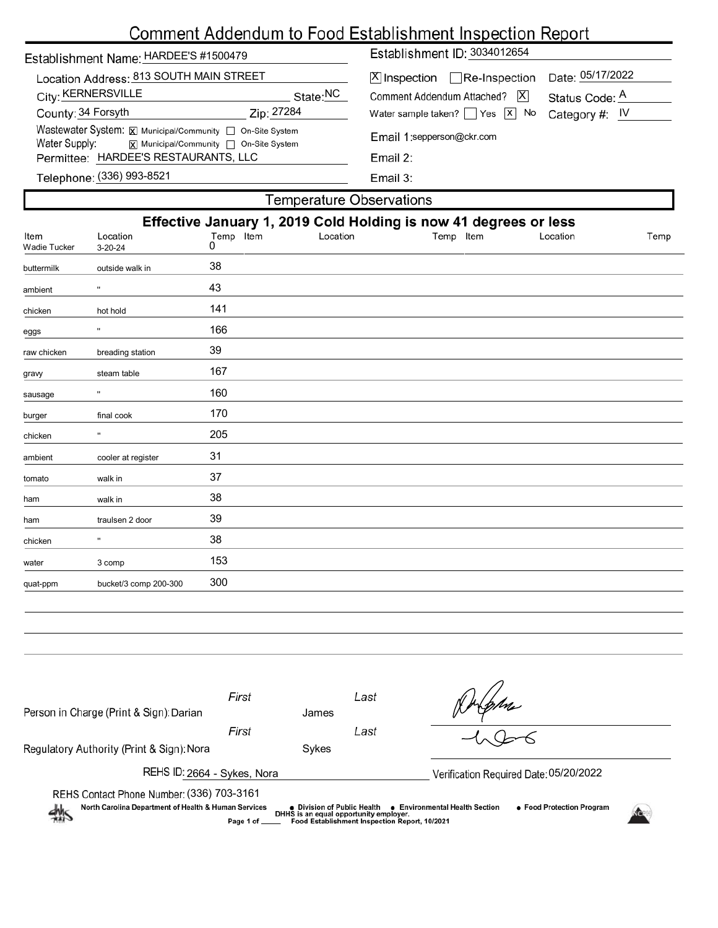# Comment Addendum to Food Establishment Inspection Report

| Date: 05/17/2022<br>Location Address: 813 SOUTH MAIN STREET<br>$[X]$ Inspection $\Box$ Re-Inspection<br>City: KERNERSVILLE<br>State:NC<br>$\overline{\mathsf{X}}$<br>Comment Addendum Attached?<br>Status Code: A<br>County: 34 Forsyth<br>Zip: 27284<br>Water sample taken? $\Box$ Yes $\Box$ No<br>Category #: $IV$<br>Wastewater System: X Municipal/Community   On-Site System<br>Email 1:sepperson@ckr.com<br>Water Supply:<br>$\overline{x}$ Municipal/Community $\Box$ On-Site System<br>Permittee: HARDEE'S RESTAURANTS, LLC<br>Email 2: | Establishment Name: HARDEE'S #1500479 | Establishment ID: 3034012654 |  |  |  |  |  |
|--------------------------------------------------------------------------------------------------------------------------------------------------------------------------------------------------------------------------------------------------------------------------------------------------------------------------------------------------------------------------------------------------------------------------------------------------------------------------------------------------------------------------------------------------|---------------------------------------|------------------------------|--|--|--|--|--|
|                                                                                                                                                                                                                                                                                                                                                                                                                                                                                                                                                  |                                       |                              |  |  |  |  |  |
|                                                                                                                                                                                                                                                                                                                                                                                                                                                                                                                                                  |                                       |                              |  |  |  |  |  |
|                                                                                                                                                                                                                                                                                                                                                                                                                                                                                                                                                  |                                       |                              |  |  |  |  |  |
|                                                                                                                                                                                                                                                                                                                                                                                                                                                                                                                                                  |                                       |                              |  |  |  |  |  |
| Telephone: (336) 993-8521<br>Email $3:$                                                                                                                                                                                                                                                                                                                                                                                                                                                                                                          |                                       |                              |  |  |  |  |  |

| Effective January 1, 2019 Cold Holding is now 41 degrees or less |                |          |           |          |                          |  |  |  |  |
|------------------------------------------------------------------|----------------|----------|-----------|----------|--------------------------|--|--|--|--|
| Location<br>$3 - 20 - 24$                                        | Temp Item<br>0 | Location | Temp Item | Location | Temp                     |  |  |  |  |
| outside walk in                                                  | 38             |          |           |          |                          |  |  |  |  |
| $\mathbf{u}$                                                     | 43             |          |           |          |                          |  |  |  |  |
| hot hold                                                         | 141            |          |           |          |                          |  |  |  |  |
| $\pmb{\mathsf{u}}$                                               | 166            |          |           |          |                          |  |  |  |  |
| breading station                                                 | 39             |          |           |          |                          |  |  |  |  |
| steam table                                                      | 167            |          |           |          |                          |  |  |  |  |
| $\pmb{\mathsf{u}}$                                               | 160            |          |           |          |                          |  |  |  |  |
| final cook                                                       | 170            |          |           |          |                          |  |  |  |  |
|                                                                  | 205            |          |           |          |                          |  |  |  |  |
| cooler at register                                               | 31             |          |           |          |                          |  |  |  |  |
| walk in                                                          | 37             |          |           |          |                          |  |  |  |  |
| walk in                                                          | 38             |          |           |          |                          |  |  |  |  |
| traulsen 2 door                                                  | 39             |          |           |          |                          |  |  |  |  |
| $\mathbf{H}$                                                     | 38             |          |           |          |                          |  |  |  |  |
| 3 comp                                                           | 153            |          |           |          |                          |  |  |  |  |
| bucket/3 comp 200-300                                            | 300            |          |           |          |                          |  |  |  |  |
|                                                                  |                |          |           |          | Temperature Observations |  |  |  |  |

| Person in Charge (Print & Sign): Darian                                                                                                                                                                                                                                                                                     |  |  |  |  |  |  |  |  |
|-----------------------------------------------------------------------------------------------------------------------------------------------------------------------------------------------------------------------------------------------------------------------------------------------------------------------------|--|--|--|--|--|--|--|--|
| Regulatory Authority (Print & Sign): Nora<br>Sykes                                                                                                                                                                                                                                                                          |  |  |  |  |  |  |  |  |
| REHS ID: 2664 - Sykes, Nora<br>Verification Required Date: 05/20/2022                                                                                                                                                                                                                                                       |  |  |  |  |  |  |  |  |
| REHS Contact Phone Number: (336) 703-3161<br>North Carolina Department of Health & Human Services<br>• Food Protection Program<br>● Environmental Health Section<br>● Division of Public Health<br>DHHS is an equal opportunity employer.<br>$\rightarrow$<br>Food Establishment Inspection Report, 10/2021<br>Page 1 of __ |  |  |  |  |  |  |  |  |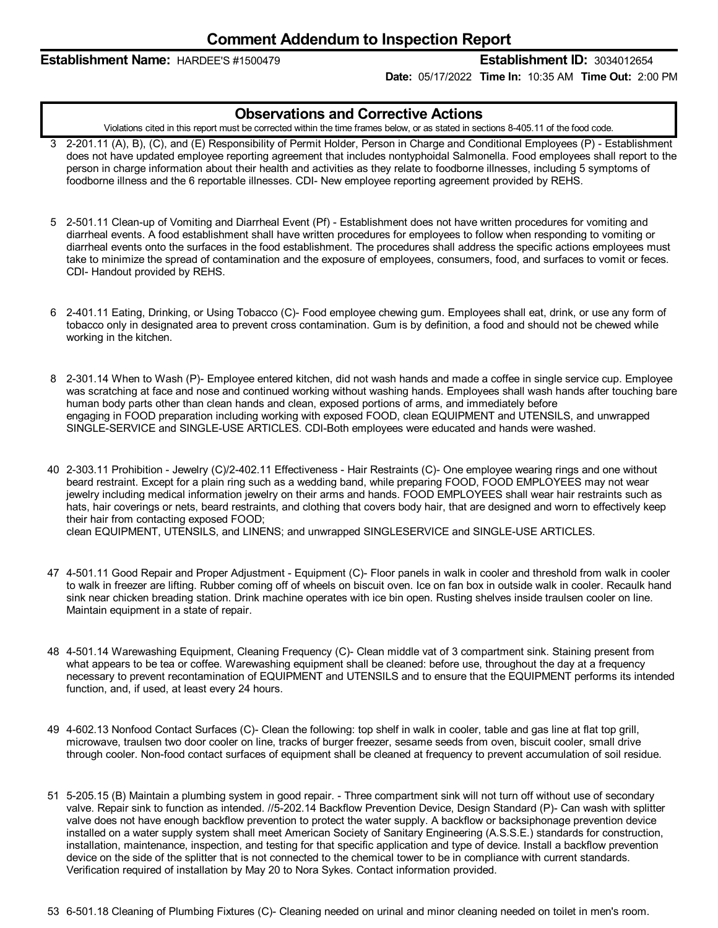### **Establishment Name:** HARDEE'S #1500479 **Establishment ID:** 3034012654

**Date:** 05/17/2022 **Time In:** 10:35 AM **Time Out:** 2:00 PM

### **Observations and Corrective Actions**

Violations cited in this report must be corrected within the time frames below, or as stated in sections 8-405.11 of the food code.

- 3 2-201.11 (A), B), (C), and (E) Responsibility of Permit Holder, Person in Charge and Conditional Employees (P) Establishment does not have updated employee reporting agreement that includes nontyphoidal Salmonella. Food employees shall report to the person in charge information about their health and activities as they relate to foodborne illnesses, including 5 symptoms of foodborne illness and the 6 reportable illnesses. CDI- New employee reporting agreement provided by REHS.
- 5 2-501.11 Clean-up of Vomiting and Diarrheal Event (Pf) Establishment does not have written procedures for vomiting and diarrheal events. A food establishment shall have written procedures for employees to follow when responding to vomiting or diarrheal events onto the surfaces in the food establishment. The procedures shall address the specific actions employees must take to minimize the spread of contamination and the exposure of employees, consumers, food, and surfaces to vomit or feces. CDI- Handout provided by REHS.
- 6 2-401.11 Eating, Drinking, or Using Tobacco (C)- Food employee chewing gum. Employees shall eat, drink, or use any form of tobacco only in designated area to prevent cross contamination. Gum is by definition, a food and should not be chewed while working in the kitchen.
- 8 2-301.14 When to Wash (P)- Employee entered kitchen, did not wash hands and made a coffee in single service cup. Employee was scratching at face and nose and continued working without washing hands. Employees shall wash hands after touching bare human body parts other than clean hands and clean, exposed portions of arms, and immediately before engaging in FOOD preparation including working with exposed FOOD, clean EQUIPMENT and UTENSILS, and unwrapped SINGLE-SERVICE and SINGLE-USE ARTICLES. CDI-Both employees were educated and hands were washed.
- 40 2-303.11 Prohibition Jewelry (C)/2-402.11 Effectiveness Hair Restraints (C)- One employee wearing rings and one without beard restraint. Except for a plain ring such as a wedding band, while preparing FOOD, FOOD EMPLOYEES may not wear jewelry including medical information jewelry on their arms and hands. FOOD EMPLOYEES shall wear hair restraints such as hats, hair coverings or nets, beard restraints, and clothing that covers body hair, that are designed and worn to effectively keep their hair from contacting exposed FOOD;

clean EQUIPMENT, UTENSILS, and LINENS; and unwrapped SINGLESERVICE and SINGLE-USE ARTICLES.

- 47 4-501.11 Good Repair and Proper Adjustment Equipment (C)- Floor panels in walk in cooler and threshold from walk in cooler to walk in freezer are lifting. Rubber coming off of wheels on biscuit oven. Ice on fan box in outside walk in cooler. Recaulk hand sink near chicken breading station. Drink machine operates with ice bin open. Rusting shelves inside traulsen cooler on line. Maintain equipment in a state of repair.
- 48 4-501.14 Warewashing Equipment, Cleaning Frequency (C)- Clean middle vat of 3 compartment sink. Staining present from what appears to be tea or coffee. Warewashing equipment shall be cleaned: before use, throughout the day at a frequency necessary to prevent recontamination of EQUIPMENT and UTENSILS and to ensure that the EQUIPMENT performs its intended function, and, if used, at least every 24 hours.
- 49 4-602.13 Nonfood Contact Surfaces (C)- Clean the following: top shelf in walk in cooler, table and gas line at flat top grill, microwave, traulsen two door cooler on line, tracks of burger freezer, sesame seeds from oven, biscuit cooler, small drive through cooler. Non-food contact surfaces of equipment shall be cleaned at frequency to prevent accumulation of soil residue.
- 51 5-205.15 (B) Maintain a plumbing system in good repair. Three compartment sink will not turn off without use of secondary valve. Repair sink to function as intended. //5-202.14 Backflow Prevention Device, Design Standard (P)- Can wash with splitter valve does not have enough backflow prevention to protect the water supply. A backflow or backsiphonage prevention device installed on a water supply system shall meet American Society of Sanitary Engineering (A.S.S.E.) standards for construction, installation, maintenance, inspection, and testing for that specific application and type of device. Install a backflow prevention device on the side of the splitter that is not connected to the chemical tower to be in compliance with current standards. Verification required of installation by May 20 to Nora Sykes. Contact information provided.
- 53 6-501.18 Cleaning of Plumbing Fixtures (C)- Cleaning needed on urinal and minor cleaning needed on toilet in men's room.